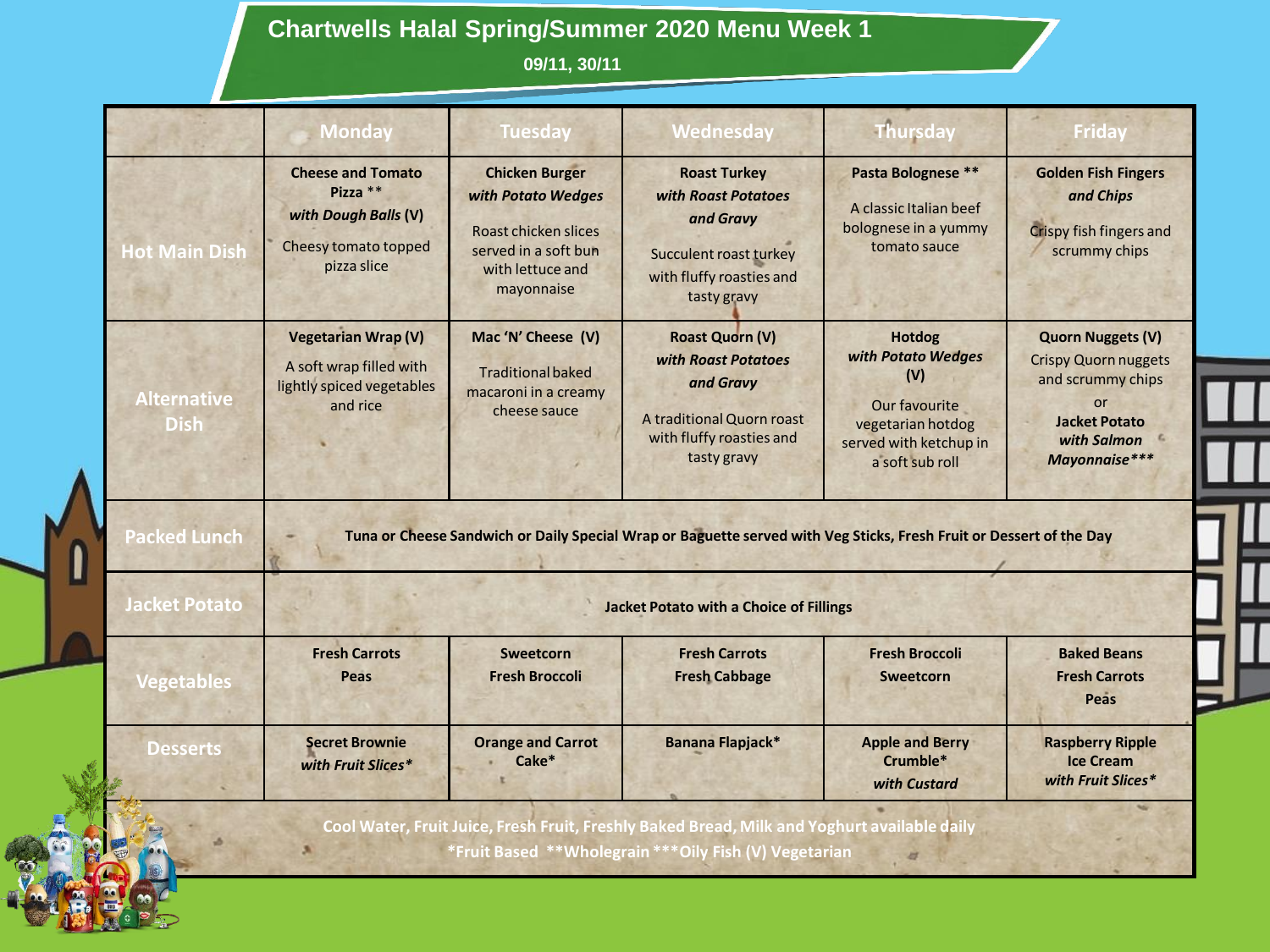## **Chartwells Halal Spring/Summer 2020 Menu Week 1**

**09/11, 30/11**

|                                   | <b>Monday</b>                                                                                       | <b>Tuesday</b>                                                                                                                | Wednesday                                                                                                                           | <b>Thursday</b>                                                                                                               | <b>Friday</b>                                                                                                                              |
|-----------------------------------|-----------------------------------------------------------------------------------------------------|-------------------------------------------------------------------------------------------------------------------------------|-------------------------------------------------------------------------------------------------------------------------------------|-------------------------------------------------------------------------------------------------------------------------------|--------------------------------------------------------------------------------------------------------------------------------------------|
| <b>Hot Main Dish</b>              | <b>Cheese and Tomato</b><br>Pizza **<br>with Dough Balls (V)<br>Cheesy tomato topped<br>pizza slice | <b>Chicken Burger</b><br>with Potato Wedges<br>Roast chicken slices<br>served in a soft bun<br>with lettuce and<br>mayonnaise | <b>Roast Turkey</b><br>with Roast Potatoes<br>and Gravy<br><b>Succulent roast turkey</b><br>with fluffy roasties and<br>tasty gravy | Pasta Bolognese **<br>A classic Italian beef<br>bolognese in a yummy<br>tomato sauce                                          | <b>Golden Fish Fingers</b><br>and Chips<br>Crispy fish fingers and<br>scrummy chips                                                        |
| <b>Alternative</b><br><b>Dish</b> | <b>Vegetarian Wrap (V)</b><br>A soft wrap filled with<br>lightly spiced vegetables<br>and rice      | Mac 'N' Cheese (V)<br><b>Traditional baked</b><br>macaroni in a creamy<br>cheese sauce                                        | <b>Roast Quorn (V)</b><br>with Roast Potatoes<br>and Gravy<br>A traditional Quorn roast<br>with fluffy roasties and<br>tasty gravy  | <b>Hotdog</b><br>with Potato Wedges<br>(V)<br>Our favourite<br>vegetarian hotdog<br>served with ketchup in<br>a soft sub roll | <b>Quorn Nuggets (V)</b><br><b>Crispy Quorn nuggets</b><br>and scrummy chips<br>or<br><b>Jacket Potato</b><br>with Salmon<br>Mayonnaise*** |
| <b>Packed Lunch</b>               |                                                                                                     |                                                                                                                               | Tuna or Cheese Sandwich or Daily Special Wrap or Baguette served with Veg Sticks, Fresh Fruit or Dessert of the Day                 |                                                                                                                               |                                                                                                                                            |
| <b>Jacket Potato</b>              |                                                                                                     |                                                                                                                               | <b>Jacket Potato with a Choice of Fillings</b>                                                                                      |                                                                                                                               |                                                                                                                                            |
|                                   | <b>Fresh Carrots</b>                                                                                | <b>Sweetcorn</b>                                                                                                              | <b>Fresh Carrots</b>                                                                                                                | <b>Fresh Broccoli</b>                                                                                                         | <b>Baked Beans</b>                                                                                                                         |
| <b>Vegetables</b>                 | Peas                                                                                                | <b>Fresh Broccoli</b>                                                                                                         | <b>Fresh Cabbage</b>                                                                                                                | Sweetcorn                                                                                                                     | <b>Fresh Carrots</b><br>Peas                                                                                                               |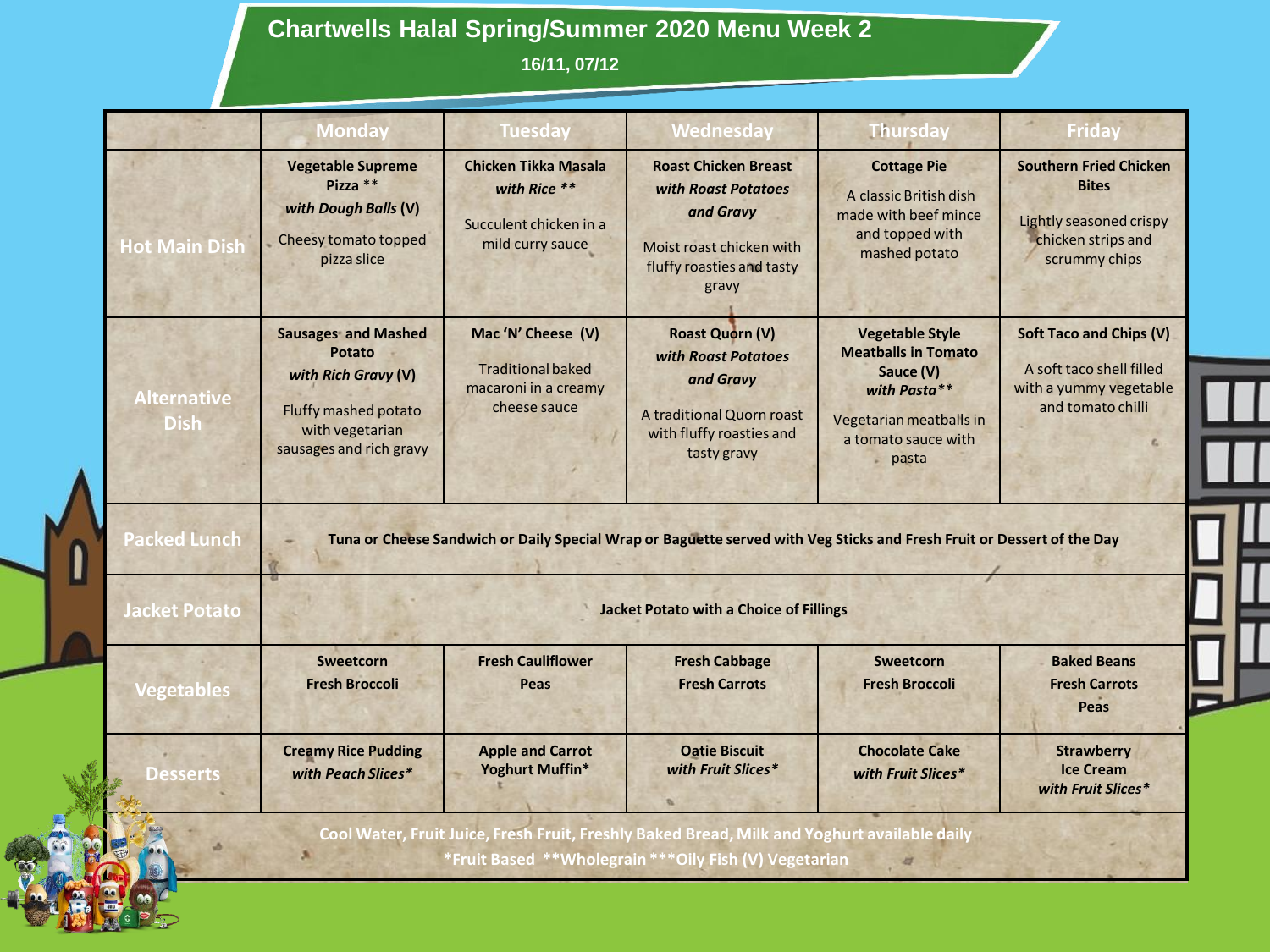## **Chartwells Halal Spring/Summer 2020 Menu Week 2**

**16/11, 07/12**

|                                                                  | <b>Monday</b>                                                                                                                            | <b>Tuesday</b>                                                                            | Wednesday                                                                                                                          | <b>Thursday</b>                                                                                                                              | <b>Friday</b>                                                                                                   |
|------------------------------------------------------------------|------------------------------------------------------------------------------------------------------------------------------------------|-------------------------------------------------------------------------------------------|------------------------------------------------------------------------------------------------------------------------------------|----------------------------------------------------------------------------------------------------------------------------------------------|-----------------------------------------------------------------------------------------------------------------|
| <b>Hot Main Dish</b>                                             | <b>Vegetable Supreme</b><br>Pizza **<br>with Dough Balls (V)<br>Cheesy tomato topped<br>pizza slice                                      | <b>Chicken Tikka Masala</b><br>with Rice **<br>Succulent chicken in a<br>mild curry sauce | <b>Roast Chicken Breast</b><br>with Roast Potatoes<br>and Gravy<br>Moist roast chicken with<br>fluffy roasties and tasty<br>gravy  | <b>Cottage Pie</b><br>A classic British dish<br>made with beef mince<br>and topped with<br>mashed potato                                     | <b>Southern Fried Chicken</b><br><b>Bites</b><br>Lightly seasoned crispy<br>chicken strips and<br>scrummy chips |
| <b>Alternative</b><br><b>Dish</b>                                | <b>Sausages and Mashed</b><br><b>Potato</b><br>with Rich Gravy (V)<br>Fluffy mashed potato<br>with vegetarian<br>sausages and rich gravy | Mac 'N' Cheese (V)<br><b>Traditional baked</b><br>macaroni in a creamy<br>cheese sauce    | <b>Roast Quorn (V)</b><br>with Roast Potatoes<br>and Gravy<br>A traditional Quorn roast<br>with fluffy roasties and<br>tasty gravy | <b>Vegetable Style</b><br><b>Meatballs in Tomato</b><br>Sauce (V)<br>with Pasta**<br>Vegetarian meatballs in<br>a tomato sauce with<br>pasta | <b>Soft Taco and Chips (V)</b><br>A soft taco shell filled<br>with a yummy vegetable<br>and tomato chilli       |
|                                                                  |                                                                                                                                          |                                                                                           |                                                                                                                                    |                                                                                                                                              |                                                                                                                 |
|                                                                  |                                                                                                                                          |                                                                                           | Tuna or Cheese Sandwich or Daily Special Wrap or Baguette served with Veg Sticks and Fresh Fruit or Dessert of the Day             |                                                                                                                                              |                                                                                                                 |
|                                                                  |                                                                                                                                          |                                                                                           | <b>Jacket Potato with a Choice of Fillings</b>                                                                                     |                                                                                                                                              |                                                                                                                 |
| <b>Packed Lunch</b><br><b>Jacket Potato</b><br><b>Vegetables</b> | Sweetcorn<br><b>Fresh Broccoli</b>                                                                                                       | <b>Fresh Cauliflower</b><br>Peas                                                          | <b>Fresh Cabbage</b><br><b>Fresh Carrots</b>                                                                                       | <b>Sweetcorn</b><br><b>Fresh Broccoli</b>                                                                                                    | <b>Baked Beans</b><br><b>Fresh Carrots</b><br><b>Peas</b>                                                       |